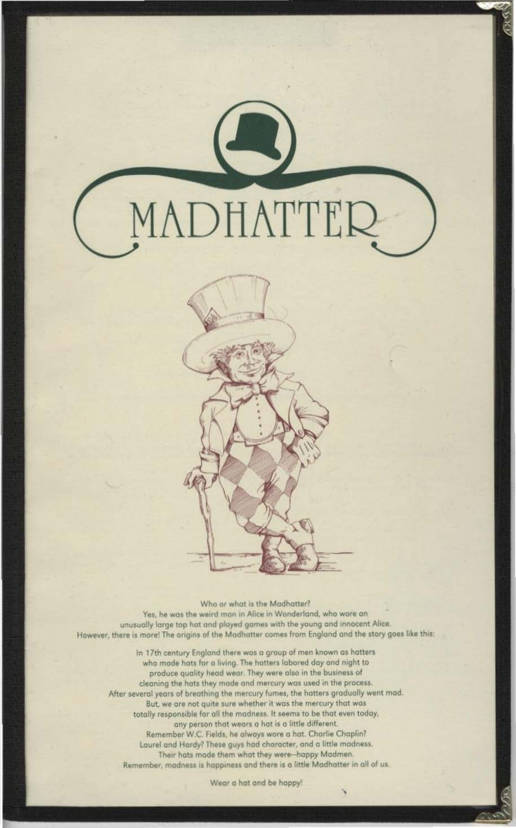MADHATTER



Who or what is the Madhatter? Yes, he was the weird man in Alice in Wonderland, who wore an unusually large top hat and played games with the young and innocent Alice. However, there is more! The origins of the Madhatter comes from England and the story goes like this:

In 17th century England there was a group of men known as hatters who mode hats for a living. The hatters labored day and night to produce quality head wear. They were also in the business of cleaning the hats they made and mercury was used in the process. After several years of breathing the mercury fumes, the hatters gradually went mad. But, we are not quite sure whether it was the mercury that was totally responsible for all the madness. It seems to be that even today, any person that wears a hat is a little different. Remember W.C. Fields, he always wore a hat. Charlie Chaplin? Laurel and Hardy? These guys had character, and a little madness. Their hats made them what they were-happy Madmen. Remember, madness is happiness and there is a little Madhatter in all of us.

Wear a hat and be happy!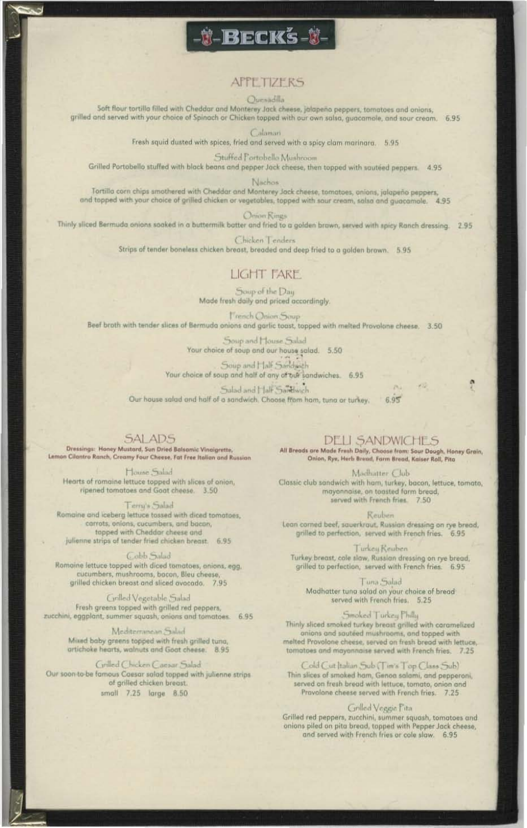## **APPE TIZERS**

#### Quesadilla

1-Becks-1-

Soft flour tortilla filled with Cheddar and Monterey Jack cheese, jalapeno peppers, tomatoes and onions, grilled and served with your choice of Spinach or Chicken topped with our own salsa, guacamole, and sour cream. 6.95

Calamari

Fresh squid dusted with spices, fried and served with a spicy clam marinara. 5.95

Stuffed Portobello Mushroom

Grilled Portobello stuffed with black beans and pepper Jack cheese, then topped with sautéed peppers 4.95

Nachos:

Tortilla corn chips smothered with Cheddar and Monterey Jack cheese, tomatoes, anions, jalapeno peppers, and topped with your choice of grilled chicken or vegetables, topped with sour cream, salso and quacamole. 4.95

Omon Rings

Thinly sliced Bermuda onions soaked in a buttermilk batter and fried to a golden brawn, served with spicy Ranch dressing. 2.95

Chicken Lenders

Strips of tender boneless chicken breast, breaded and deep fried to a golden brown. 5.95

### **LIGHT FARE**

Soup of the Day Made fresh daily and priced accordingly.

French Onion Soup Beef broth with tender slices of Bermuda onions and garlic toast, topped with melted Provolone cheese. 3.50

> Soup and House Salad Your choice of soup and our house salad. 5.50

Soup and Half Sandwich Your choice of soup and half of any of our sandwiches. 6.95

 $P_{12}$ Salad and Half Sandwich Our house salad and half of a sandwich. Choose from ham, tuna or turkey.  $6.95$ 

**SALADS** 

Dressings: Honey Mustard, Sun Dried Balsamic Vinaigrette, Lemon Cilantro Ranch, Creamy Four Cheese, Fat Free Italian and Russian

House Salad Hearts of romaine lettuce topped with slices of onion, ripened tomatoes and Goat cheese. 3.50

Terry's Salad Romaine and iceberg lettuce tossed with diced tomotoes, carrots, onions, cucumbers, and bacon, tapped with Cheddar cheese and julienne strips of tender fried chicken breast. 6.95

Cobb Salad Romaine lettuce topped with diced tomatoes, onions, egg. cucumbers, mushrooms, bacon, Bleu cheese, grilled chicken breast and sliced avacado. 7.95

Grilled Vegetable Salad Fresh greens topped with grilled red peppers, zucchini, eggplant, summer squash, onions and tomatoes. 6.95

> Mediterranean Salad Mixed baby greens topped with fresh grilled tuna, artichoke hearts, walnuts and Goat cheese. 8.95

Ciriled Chicken Caesar Salad Our soon to be famous Caesar salad topped with julienne strips of grilled chicken breast. small 7.25 large 8.50

**DELI SANDWICHES** All Breads are Made Fresh Daily, Choose from: Sour Dough, Honey Grain, Onion, Rye, Herb Bread, Farm Bread, Kaiser Roll, Pita

Machatter Club Classic club sandwich with ham, turkey, bacon, lettuce, tomato, mayonnaise, on toasted form bread, served with French fries. 7.50

Reuben Lean corned beef, saverkraut, Russian dressing on rye bread, grilled to perfection, served with French fries. 6.95

Turkeu Keuben Turkey breast, cole slaw, Russian dressing on rye bread, grilled to perfection, served with French fries. 6.95

Tuna Salad Madhatter tuna salad on your choice of bread served with French fries. 5.25

Smoked Turkey Philly Thinly sliced smoked turkey breast grilled with caramelized anions and sauteed mushrooms, and topped with melted Provolone cheese, served on fresh bread with lettuce, tomatoes and mayonnaise served with French fries. 7.25

Cold Cut Italian Sub (Tim's Top Class Sub) Thin slices of smoked ham, Genoa salami, and pepperoni, served on fresh bread with lettuce, tomato, onion and Pravolone cheese served with French fries. 7.25

#### Grilled Veggie Pita

Grilled red peppers, zucchini, summer squash, tomatoes and onions piled on pita bread, tapped with Pepper Jack cheese, and served with French fries or cole slaw. 6.95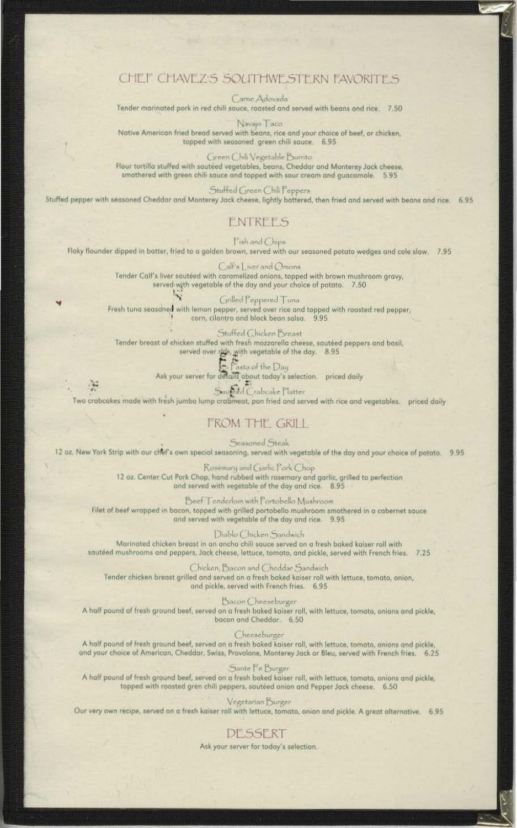## CHEF CHAVEZS SOUTHWESTERN FAVORITES

Carne Adovada

Tender marinated pork in red chili sauce, roasted and served with beans and rice. 7.50

Navajo Taco Native American fried bread served with beans, rice and your choice of beef, or chicken, topped with seasoned green chili sauce. 6.95

Cireen Chili Vegetable Burrito Flour tortilla stuffed with sautéed vegetables, beans, Cheddar and Monterey Jack cheese, smothered with green chili sauce and topped with sour cream and guacamole. 5.95

Stuffed Green Chili Peppers Stuffed pepper with seasoned Cheddar and Monterey Jack cheese, lightly battered, then fried and served with beans and rice. 6.95

### ENTREES

**Tish and Chips** Flaky flounder dipped in batter, fried to a golden brown, served with our seasoned potato wedges and cole slaw. 7.95

> Call's | iver and Onions Tender Calf's liver sautéed with caramelized onions, topped with brown mushroom gravy, served with vegetable of the day and your choice of potato. 7.50

 $\overline{N}$ Grilled Peppered Tuna Fresh tuna seasoned with lemon pepper, served over rice and topped with roasted red pepper, corn, cilantro and black bean salsa. 9,95

Stuffed Chicken Breast Tender breast of chicken stuffed with fresh mozzarella cheese, sautéed peppers and basil, served over rice, with vegetable of the day. 8.95

asta of the Day Ask your server for details about today's selection. priced daily

Sound Crabcake Platter Two crabcakes made with fresh jumbo lump crabmeat, pan fried and served with rice and vegetables. priced daily

## **FROM THE GRILL**

Seasoned Steak 12 oz. New York Strip with our chef's own special seasoning, served with vegetable of the day and your choice of potato. 9.95

> Rosemary and Carlic Pork Chop 12 oz. Center Cut Pork Chop, hand rubbed with rosemary and garlic, grilled to perfection and served with vegetable of the day and rice. 8.95

Beef Tenderlain with Fortabello Mushroom Filet of beef wrapped in bacon, topped with grilled portobello mushroom smothered in a cabernet sauce and served with vegetable of the day and rice. 9.95

Diablo Chicken Sandwich Marinated chicken breast in an ancho chili sauce served on a fresh baked kaiser roll with sautéed mushrooms and peppers, Jack cheese, lettuce, tomato, and pickle, served with French fries. 7.25

Chicken, Bacon and Cheddar Sandwich Tender chicken breast grilled and served on a fresh baked kaiser roll with lettuce, tomato, onion, and pickle, served with French fries. 6.95

Dacon Cheeseburger A half pound of fresh ground beef, served on a fresh baked kaiser roll, with lettuce, tomato, onions and pickle, bacon and Cheddar. 6.50

Cheeseburger

A half pound of fresh ground beef, served on a fresh baked kaiser roll, with lettuce, tomato, onions and pickle, and your choice of American, Cheddar, Swiss, Provolone, Monterey Jack or Bleu, served with French fries. 6.25

Sante Fe Burger A half pound of fresh ground beef, served on a fresh baked kaiser roll, with lettuce, tomato, onions and pickle, topped with roasted gren chili peppers, sautéed onion and Pepper Jack cheese. 6.50

Vegetarian Burger

Our very own recipe, served on a fresh kaiser roll with lettuce, tomato, onion and pickle. A great alternative. 6.95

# **DESSERT**

Ask your server for today's selection.